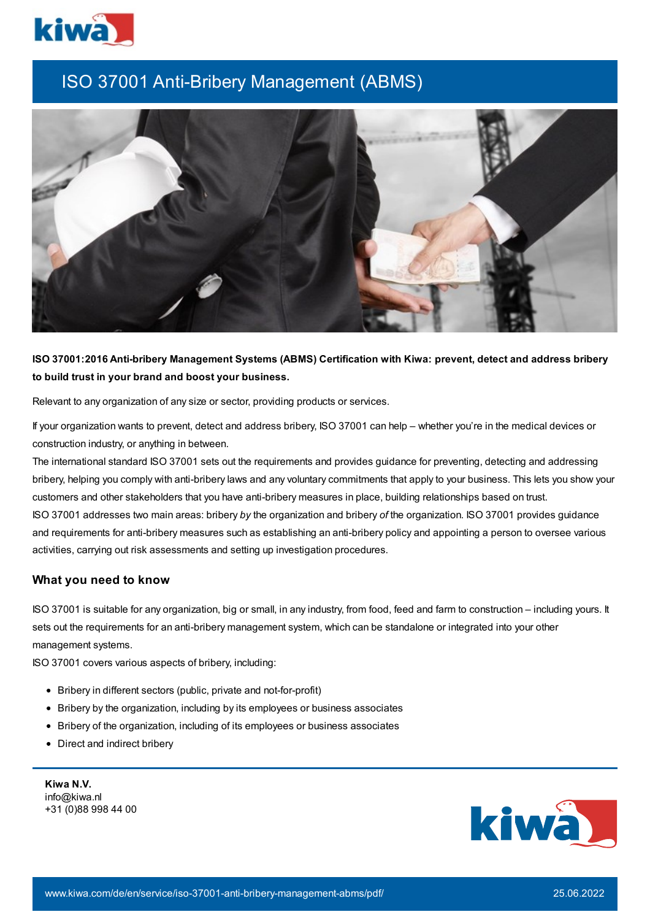

## ISO 37001 Anti-Bribery Management (ABMS)



**ISO 37001:2016 Anti-bribery Management Systems (ABMS) Certification with Kiwa: prevent, detect and address bribery to build trust in your brand and boost your business.**

Relevant to any organization of any size or sector, providing products or services.

If your organization wants to prevent, detect and address bribery, ISO 37001 can help – whether you're in the medical devices or construction industry, or anything in between.

The international standard ISO 37001 sets out the requirements and provides guidance for preventing, detecting and addressing bribery, helping you comply with anti-bribery laws and any voluntary commitments that apply to your business. This lets you show your customers and other stakeholders that you have anti-bribery measures in place, building relationships based on trust. ISO 37001 addresses two main areas: bribery *by* the organization and bribery *of* the organization. ISO 37001 provides guidance and requirements for anti-bribery measures such as establishing an anti-bribery policy and appointing a person to oversee various activities, carrying out risk assessments and setting up investigation procedures.

## **What you need to know**

ISO 37001 is suitable for any organization, big or small, in any industry, from food, feed and farm to construction – including yours. It sets out the requirements for an anti-bribery management system, which can be standalone or integrated into your other management systems.

ISO 37001 covers various aspects of bribery, including:

- Bribery in different sectors (public, private and not-for-profit)
- Bribery by the organization, including by its employees or business associates
- Bribery of the organization, including of its employees or business associates
- Direct and indirect bribery

**Kiwa N.V.** info@kiwa.nl +31 (0)88 998 44 00